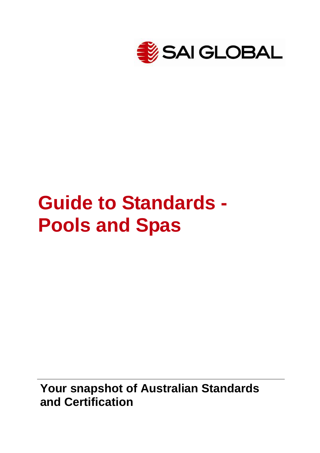

# **Guide to Standards - Pools and Spas**

**Your snapshot of Australian Standards and Certification**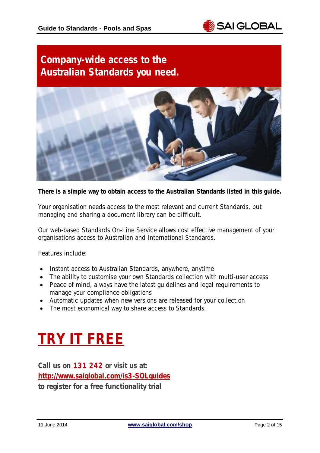

## **Company-wide access to the Australian Standards you need.**



**There is a simple way to obtain access to the Australian Standards listed in this guide.**

Your organisation needs access to the most relevant and current Standards, but managing and sharing a document library can be difficult.

Our web-based Standards On-Line Service allows cost effective management of your organisations access to Australian and International Standards.

Features include:

- Instant access to Australian Standards, anywhere, anytime
- The ability to customise your own Standards collection with multi-user access
- Peace of mind, always have the latest guidelines and legal requirements to manage your compliance obligations
- Automatic updates when new versions are released for your collection
- The most economical way to share access to Standards.

## **[TRY IT FREE](http://www.saiglobal.com/Information/Standards/Collections/Standards-Online-Select/?utm_source=Website_Infostore&utm_medium=Guide&utm_campaign=GC_WHSGuide_Apr14)**

**Call us on 131 242 or visit us at: [http://www.saiglobal.com/is3-SOLguides](http://www.saiglobal.com/Information/Standards/Collections/Standards-Online-Select/?utm_source=Website_Infostore&utm_medium=Guide&utm_campaign=GC_WHSGuide_Apr14) to register for a free functionality trial**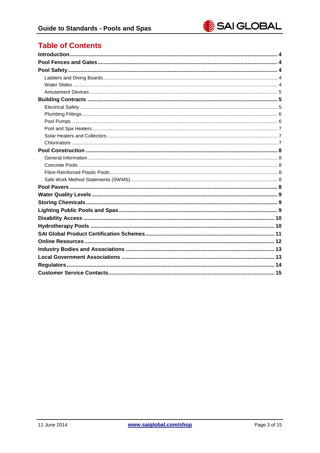## **Table of Contents**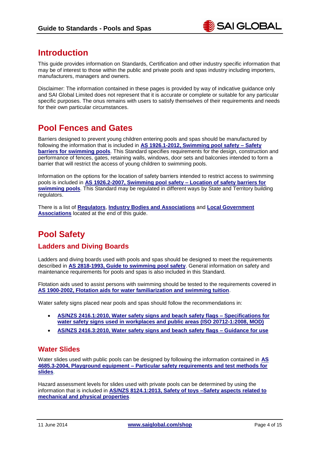## <span id="page-3-0"></span>**Introduction**

This guide provides information on Standards, Certification and other industry specific information that may be of interest to those within the public and private pools and spas industry including importers, manufacturers, managers and owners.

Disclaimer: The information contained in these pages is provided by way of indicative guidance only and SAI Global Limited does not represent that it is accurate or complete or suitable for any particular specific purposes. The onus remains with users to satisfy themselves of their requirements and needs for their own particular circumstances.

## <span id="page-3-1"></span>**Pool Fences and Gates**

Barriers designed to prevent young children entering pools and spas should be manufactured by following the information that is included in **[AS 1926.1-2012, Swimming pool safety –](http://infostore.saiglobal.com/store/Details.aspx?ProductID=1595774&utm_source=Website_Infostore&utm_medium=Guide&utm_campaign=GC_PoolsSpas_May14) Safety [barriers for swimming pools](http://infostore.saiglobal.com/store/Details.aspx?ProductID=1595774&utm_source=Website_Infostore&utm_medium=Guide&utm_campaign=GC_PoolsSpas_May14)**. This Standard specifies requirements for the design, construction and performance of fences, gates, retaining walls, windows, door sets and balconies intended to form a barrier that will restrict the access of young children to swimming pools.

Information on the options for the location of safety barriers intended to restrict access to swimming pools is included in **[AS 1926.2-2007, Swimming pool safety –](http://infostore.saiglobal.com/store/Details.aspx?ProductID=253021&utm_source=Website_Infostore&utm_medium=Guide&utm_campaign=GC_PoolsSpas_May14) Location of safety barriers for [swimming pools](http://infostore.saiglobal.com/store/Details.aspx?ProductID=253021&utm_source=Website_Infostore&utm_medium=Guide&utm_campaign=GC_PoolsSpas_May14)**. This Standard may be regulated in different ways by State and Territory building regulators.

There is a list of **[Regulators](#page-13-0)**, **[Industry Bodies and Associations](#page-12-0)** and **[Local Government](#page-12-1)  [Associations](#page-12-1)** located at the end of this guide.

## <span id="page-3-2"></span>**Pool Safety**

#### <span id="page-3-3"></span>**Ladders and Diving Boards**

Ladders and diving boards used with pools and spas should be designed to meet the requirements described in **[AS 2818-1993, Guide to swimming pool safety](http://infostore.saiglobal.com/store/Details.aspx?ProductID=286079&utm_source=Website_Infostore&utm_medium=Guide&utm_campaign=GC_PoolsSpas_May14)**. General information on safety and maintenance requirements for pools and spas is also included in this Standard.

Flotation aids used to assist persons with swimming should be tested to the requirements covered in **[AS 1900-2002, Flotation aids for water familiarization and swimming tuition](http://infostore.saiglobal.com/store/Details.aspx?ProductID=252392&utm_source=Website_Infostore&utm_medium=Guide&utm_campaign=GC_PoolsSpas_May14)**.

Water safety signs placed near pools and spas should follow the recommendations in:

- **[AS/NZS 2416.1:2010, Water safety signs and beach safety flags –](http://infostore.saiglobal.com/store/Details.aspx?ProductID=1441369&utm_source=Website_Infostore&utm_medium=Guide&utm_campaign=GC_PoolsSpas_May14) Specifications for [water safety signs used in workplaces and public areas \(ISO 20712-1:2008, MOD\)](http://infostore.saiglobal.com/store/Details.aspx?ProductID=1441369&utm_source=Website_Infostore&utm_medium=Guide&utm_campaign=GC_PoolsSpas_May14)**
- **[AS/NZS 2416.3:2010, Water safety signs and beach safety flags –](http://infostore.saiglobal.com/store/Details.aspx?ProductID=1441371&utm_source=Website_Infostore&utm_medium=Guide&utm_campaign=GC_PoolsSpas_May14) Guidance for use**

#### <span id="page-3-4"></span>**Water Slides**

Water slides used with public pools can be designed by following the information contained in **[AS](http://infostore.saiglobal.com/store/Details.aspx?ProductID=317131&utm_source=Website_Infostore&utm_medium=Guide&utm_campaign=GC_PoolsSpas_May14)  4685.3-2004, Playground equipment – [Particular safety requirements and test methods for](http://infostore.saiglobal.com/store/Details.aspx?ProductID=317131&utm_source=Website_Infostore&utm_medium=Guide&utm_campaign=GC_PoolsSpas_May14)  [slides](http://infostore.saiglobal.com/store/Details.aspx?ProductID=317131&utm_source=Website_Infostore&utm_medium=Guide&utm_campaign=GC_PoolsSpas_May14)**.

Hazard assessment levels for slides used with private pools can be determined by using the information that is included in **[AS/NZS 8124.1:2013, Safety of toys –Safety aspects related to](http://infostore.saiglobal.com/store/Details.aspx?ProductID=1629033&utm_source=Website_Infostore&utm_medium=Guide&utm_campaign=GC_PoolsSpas_May14)  [mechanical and physical properties](http://infostore.saiglobal.com/store/Details.aspx?ProductID=1629033&utm_source=Website_Infostore&utm_medium=Guide&utm_campaign=GC_PoolsSpas_May14)**.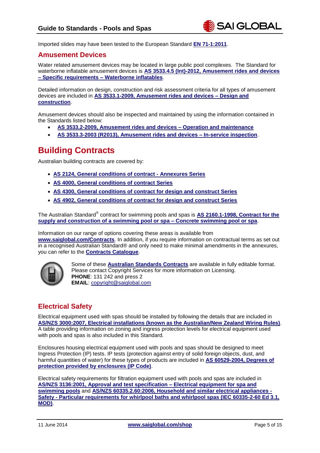Imported slides may have been tested to the European Standard **[EN 71-1:2011](http://infostore.saiglobal.com/store/Details.aspx?ProductID=1477069&utm_source=Website_Infostore&utm_medium=Guide&utm_campaign=GC_PoolsSpas_May14)**.

#### <span id="page-4-0"></span>**Amusement Devices**

Water related amusement devices may be located in large public pool complexes. The Standard for waterborne inflatable amusement devices is **[AS 3533.4.5 \(Int\)-2012, Amusement rides and devices](http://infostore.saiglobal.com/store/Details.aspx?ProductID=1537149&utm_source=Website_Infostore&utm_medium=Guide&utm_campaign=GC_PoolsSpas_May14)  – [Specific requirements –](http://infostore.saiglobal.com/store/Details.aspx?ProductID=1537149&utm_source=Website_Infostore&utm_medium=Guide&utm_campaign=GC_PoolsSpas_May14) Waterborne inflatables**.

Detailed information on design, construction and risk assessment criteria for all types of amusement devices are included in **[AS 3533.1-2009, Amusement rides and devices –](http://infostore.saiglobal.com/store/Details.aspx?ProductID=1129980&utm_source=Website_Infostore&utm_medium=Guide&utm_campaign=GC_PoolsSpas_May14) Design and [construction](http://infostore.saiglobal.com/store/Details.aspx?ProductID=1129980&utm_source=Website_Infostore&utm_medium=Guide&utm_campaign=GC_PoolsSpas_May14)**.

Amusement devices should also be inspected and maintained by using the information contained in the Standards listed below:

- **AS 3533.2-2009, [Amusement rides and devices –](http://infostore.saiglobal.com/store/Details.aspx?ProductID=1129981&utm_source=Website_Infostore&utm_medium=Guide&utm_campaign=GC_PoolsSpas_May14) Operation and maintenance**
- **[AS 3533.3-2003 \(R2013\), Amusement rides and devices –](http://infostore.saiglobal.com/store/Details.aspx?ProductID=295776&utm_source=Website_Infostore&utm_medium=Guide&utm_campaign=GC_PoolsSpas_May14) In-service inspection**.

## <span id="page-4-1"></span>**Building Contracts**

Australian building contracts are covered by:

- **[AS 2124, General conditions of contract -](http://infostore.saiglobal.com/store/results2.aspx?searchType=simple&publisher=all&keyword=2124&gPublisher=AS&utm_source=Website_Infostore&utm_medium=Guide&utm_campaign=GC_PoolsSpas_May14) Annexures Series**
- **[AS 4000, General conditions of contract Series](http://infostore.saiglobal.com/store/results2.aspx?searchType=simple&publisher=all&keyword=4000&gPublisher=AS&utm_source=Website_Infostore&utm_medium=Guide&utm_campaign=GC_PoolsSpas_May14)**
- **[AS 4300, General conditions of contract for design and construct Series](http://infostore.saiglobal.com/store/results2.aspx?searchType=simple&publisher=AS&keyword=4300&utm_source=Website_Infostore&utm_medium=Guide&utm_campaign=GC_PoolsSpas_May14)**
- **[AS 4902, General conditions of contract for design and construct Series](http://infostore.saiglobal.com/store/results2.aspx?searchType=simple&publisher=AS&keyword=4902&utm_source=Website_Infostore&utm_medium=Guide&utm_campaign=GC_PoolsSpas_May14)**

The Australian Standard® contract for swimming pools and spas is **[AS 2160.1-1998, Contract for the](http://infostore.saiglobal.com/store/Details.aspx?ProductID=260262&utm_source=Website_Infostore&utm_medium=Guide&utm_campaign=GC_PoolsSpas_May14)  [supply and construction of a swimming pool or spa –](http://infostore.saiglobal.com/store/Details.aspx?ProductID=260262&utm_source=Website_Infostore&utm_medium=Guide&utm_campaign=GC_PoolsSpas_May14) Concrete swimming pool or spa**.

Information on our range of options covering these areas is available from

**[www.saiglobal.com/Contracts](http://www.saiglobal.com/Information/Standards/Licensing/Contracts/?utm_source=Website_Infostore&utm_medium=Guide&utm_campaign=GC_PoolsSpas_May14)**. In addition, if you require information on contractual terms as set out in a recognised Australian Standard® and only need to make minimal amendments in the annexures, you can refer to the **[Contracts Catalogue](http://www.saiglobal.com/Copyright/Contracts_Catalog_AsiaPac_2011.pdf)**.



Some of these **[Australian Standards](http://www.saiglobal.com/Information/Standards/Licensing/Contracts/?utm_source=Website_Infostore&utm_medium=Guide&utm_campaign=GC_PoolsSpas_May14) Contracts** are available in fully editable format. Please contact Copyright Services for more information on Licensing. **PHONE**: 131 242 and press 2 **EMAIL**: [copyright@saiglobal.com](mailto:copyright@saiglobal.com)

#### <span id="page-4-2"></span>**Electrical Safety**

Electrical equipment used with spas should be installed by following the details that are included in **AS/NZS 3000:2007, [Electrical installations \(known as the Australian/New Zealand Wiring Rules\)](http://infostore.saiglobal.com/store/Details.aspx?ProductID=366926&utm_source=Website_Infostore&utm_medium=Guide&utm_campaign=GC_PoolsSpas_May14)**. A table providing information on zoning and ingress protection levels for electrical equipment used with pools and spas is also included in this Standard.

Enclosures housing electrical equipment used with pools and spas should be designed to meet Ingress Protection (IP) tests. IP tests (protection against entry of solid foreign objects, dust, and harmful quantities of water) for these types of products are included in **[AS 60529-2004, Degrees of](http://infostore.saiglobal.com/store/Details.aspx?ProductID=322405&utm_source=Website_Infostore&utm_medium=Guide&utm_campaign=GC_PoolsSpas_May14)  [protection provided by enclosures \(IP Code\)](http://infostore.saiglobal.com/store/Details.aspx?ProductID=322405&utm_source=Website_Infostore&utm_medium=Guide&utm_campaign=GC_PoolsSpas_May14)**.

Electrical safety requirements for filtration equipment used with pools and spas are included in **[AS/NZS 3136:2001, Approval and test specification –](http://infostore.saiglobal.com/store/Details.aspx?ProductID=368593&utm_source=Website_Infostore&utm_medium=Guide&utm_campaign=GC_PoolsSpas_May14) Electrical equipment for spa and [swimming pools](http://infostore.saiglobal.com/store/Details.aspx?ProductID=368593&utm_source=Website_Infostore&utm_medium=Guide&utm_campaign=GC_PoolsSpas_May14)** and **[AS/NZS 60335.2.60:2006, Household and similar electrical appliances -](http://infostore.saiglobal.com/store/Details.aspx?ProductID=389108&utm_source=Website_Infostore&utm_medium=Guide&utm_campaign=GC_PoolsSpas_May14) Safety - [Particular requirements for whirlpool baths and whirlpool spas \(IEC 60335-2-60 Ed 3.1,](http://infostore.saiglobal.com/store/Details.aspx?ProductID=389108&utm_source=Website_Infostore&utm_medium=Guide&utm_campaign=GC_PoolsSpas_May14)  [MOD\)](http://infostore.saiglobal.com/store/Details.aspx?ProductID=389108&utm_source=Website_Infostore&utm_medium=Guide&utm_campaign=GC_PoolsSpas_May14)**.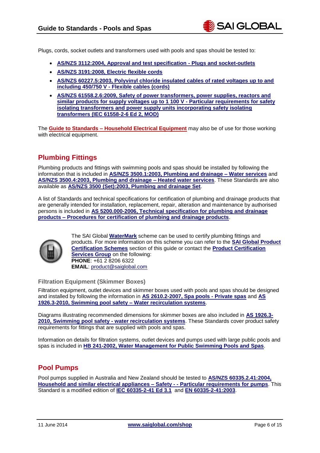Plugs, cords, socket outlets and transformers used with pools and spas should be tested to:

- **[AS/NZS 3112:2004, Approval and test specification -](http://infostore.saiglobal.com/store/Details.aspx?ProductID=368210&utm_source=Website_Infostore&utm_medium=Guide&utm_campaign=GC_PoolsSpas_May14) Plugs and socket-outlets**
- **[AS/NZS 3191:2008, Electric flexible cords](http://infostore.saiglobal.com/store/Details.aspx?ProductID=996705&utm_source=Website_Infostore&utm_medium=Guide&utm_campaign=GC_PoolsSpas_May14)**
- **[AS/NZS 60227.5:2003, Polyvinyl chloride insulated cables of rated voltages up to and](http://infostore.saiglobal.com/store/Details.aspx?ProductID=388158&utm_source=Website_Infostore&utm_medium=Guide&utm_campaign=GC_PoolsSpas_May14)  including 450/750 V - [Flexible cables \(cords\)](http://infostore.saiglobal.com/store/Details.aspx?ProductID=388158&utm_source=Website_Infostore&utm_medium=Guide&utm_campaign=GC_PoolsSpas_May14)**
- **[AS/NZS 61558.2.6:2009, Safety of power transformers, power supplies, reactors and](http://infostore.saiglobal.com/store/Details.aspx?ProductID=1356423&utm_source=Website_Infostore&utm_medium=Guide&utm_campaign=GC_PoolsSpas_May14)  [similar products for supply voltages up to 1 100 V -](http://infostore.saiglobal.com/store/Details.aspx?ProductID=1356423&utm_source=Website_Infostore&utm_medium=Guide&utm_campaign=GC_PoolsSpas_May14) Particular requirements for safety [isolating transformers and power supply units incorporating safety isolating](http://infostore.saiglobal.com/store/Details.aspx?ProductID=1356423&utm_source=Website_Infostore&utm_medium=Guide&utm_campaign=GC_PoolsSpas_May14)  [transformers \(IEC 61558-2-6 Ed 2, MOD\)](http://infostore.saiglobal.com/store/Details.aspx?ProductID=1356423&utm_source=Website_Infostore&utm_medium=Guide&utm_campaign=GC_PoolsSpas_May14)**

The **Guide to Standards – [Household Electrical Equipment](https://infostore.saiglobal.com/store/getpage.aspx?path=/publishing/shop/productguides/household.htm&utm_source=Website_Infostore&utm_medium=Guide&utm_campaign=GC_PoolsSpas_May14)** may also be of use for those working with electrical equipment.

#### <span id="page-5-0"></span>**Plumbing Fittings**

Plumbing products and fittings with swimming pools and spas should be installed by following the information that is included in **[AS/NZS 3500.1:2003, Plumbing and drainage –](http://infostore.saiglobal.com/store/Details.aspx?ProductID=372933&utm_source=Website_Infostore&utm_medium=Guide&utm_campaign=GC_PoolsSpas_May14) Water services** and **[AS/NZS 3500.4:2003, Plumbing and drainage –](http://infostore.saiglobal.com/store/Details.aspx?ProductID=373064&utm_source=Website_Infostore&utm_medium=Guide&utm_campaign=GC_PoolsSpas_May14) Heated water services**. These Standards are also available as **[AS/NZS 3500 \(Set\):2003, Plumbing and drainage Set](http://infostore.saiglobal.com/store/Details.aspx?ProductID=372892&utm_source=Website_Infostore&utm_medium=Guide&utm_campaign=GC_PoolsSpas_May14)**.

A list of Standards and technical specifications for certification of plumbing and drainage products that are generally intended for installation, replacement, repair, alteration and maintenance by authorised persons is included in **AS 5200.000-2006, [Technical specification for plumbing and drainage](http://infostore.saiglobal.com/store/Details.aspx?ProductID=320991&utm_source=Website_Infostore&utm_medium=Guide&utm_campaign=GC_PoolsSpas_May14)  products – [Procedures for certification of plumbing and drainage products](http://infostore.saiglobal.com/store/Details.aspx?ProductID=320991&utm_source=Website_Infostore&utm_medium=Guide&utm_campaign=GC_PoolsSpas_May14)**.



The SAI Global **[WaterMark](http://www.saiglobal.com/product-certification/water-plumbing/?utm_source=Website_Infostore&utm_medium=Guide&utm_campaign=GC_PoolsSpas_May14)** scheme can be used to certify plumbing fittings and products. For more information on this scheme you can refer to the **[SAI Global Product](#page-10-0)  [Certification Schemes](#page-10-0)** section of this guide or contact the **[Product Certification](http://www.saiglobal.com/product-certification/?utm_source=Website_Infostore&utm_medium=Guide&utm_campaign=GC_PoolsSpas_May14)  [Services Group](http://www.saiglobal.com/product-certification/?utm_source=Website_Infostore&utm_medium=Guide&utm_campaign=GC_PoolsSpas_May14)** on the following: **PHONE**: +61 2 8206 6322 **EMAIL**: [product@saiglobal.com](mailto:product@saiglobal.com)

#### **Filtration Equipment (Skimmer Boxes)**

Filtration equipment, outlet devices and skimmer boxes used with pools and spas should be designed and installed by following the information in **[AS 2610.2-2007,](http://infostore.saiglobal.com/store/Details.aspx?ProductID=277790&utm_source=Website_Infostore&utm_medium=Guide&utm_campaign=GC_PoolsSpas_May14) Spa pools - Private spas** and **[AS](http://infostore.saiglobal.com/store/Details.aspx?ProductID=1428421&utm_source=Website_Infostore&utm_medium=Guide&utm_campaign=GC_PoolsSpas_May14)  [1926.3-2010, Swimming pool safety –](http://infostore.saiglobal.com/store/Details.aspx?ProductID=1428421&utm_source=Website_Infostore&utm_medium=Guide&utm_campaign=GC_PoolsSpas_May14) Water recirculation systems**.

Diagrams illustrating recommended dimensions for skimmer boxes are also included in **[AS 1926.3-](http://infostore.saiglobal.com/store/Details.aspx?ProductID=1428421&utm_source=Website_Infostore&utm_medium=Guide&utm_campaign=GC_PoolsSpas_May14) [2010, Swimming pool safety -](http://infostore.saiglobal.com/store/Details.aspx?ProductID=1428421&utm_source=Website_Infostore&utm_medium=Guide&utm_campaign=GC_PoolsSpas_May14) water recirculation systems**. These Standards cover product safety requirements for fittings that are supplied with pools and spas.

Information on details for filtration systems, outlet devices and pumps used with large public pools and spas is included in **[HB 241-2002, Water Management for Public Swimming Pools and Spas](http://infostore.saiglobal.com/store/Details.aspx?ProductID=460813&utm_source=Website_Infostore&utm_medium=Guide&utm_campaign=GC_PoolsSpas_May14)**.

#### <span id="page-5-1"></span>**Pool Pumps**

Pool pumps supplied in Australia and New Zealand should be tested to **[AS/NZS 60335.2.41:2004,](http://infostore.saiglobal.com/store/Details.aspx?ProductID=388887&utm_source=Website_Infostore&utm_medium=Guide&utm_campaign=GC_PoolsSpas_May14) [Household and similar electrical appliances –](http://infostore.saiglobal.com/store/Details.aspx?ProductID=388887&utm_source=Website_Infostore&utm_medium=Guide&utm_campaign=GC_PoolsSpas_May14) Safety - - Particular requirements for pumps**. This Standard is a modified edition of **[IEC 60335-2-41 Ed 3.1](http://infostore.saiglobal.com/store/Details.aspx?productID=607206&utm_source=Website_Infostore&utm_medium=Guide&utm_campaign=GC_PoolsSpas_May14)** and **[EN 60335-2-41:2003](http://infostore.saiglobal.com/store/Details.aspx?ProductID=610996&utm_source=Website_Infostore&utm_medium=Guide&utm_campaign=GC_PoolsSpas_May14)**.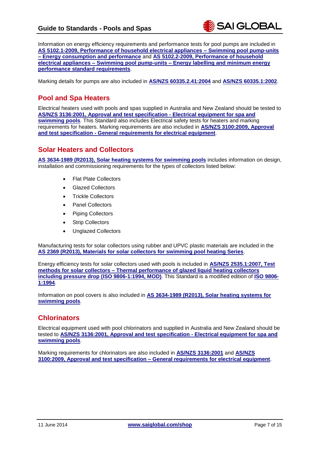Information on energy efficiency requirements and performance tests for pool pumps are included in **[AS 5102.1-2009, Performance of household electrical appliances –](http://infostore.saiglobal.com/store/Details.aspx?ProductID=1381273&utm_source=Website_Infostore&utm_medium=Guide&utm_campaign=GC_PoolsSpas_May14) Swimming pool pump-units – [Energy consumption and performance](http://infostore.saiglobal.com/store/Details.aspx?ProductID=1381273&utm_source=Website_Infostore&utm_medium=Guide&utm_campaign=GC_PoolsSpas_May14)** and **[AS 5102.2-2009, Performance of household](http://infostore.saiglobal.com/store/Details.aspx?ProductID=1381274&utm_source=Website_Infostore&utm_medium=Guide&utm_campaign=GC_PoolsSpas_May14)  electrical appliances – Swimming pool pump-units – [Energy labelling and minimum energy](http://infostore.saiglobal.com/store/Details.aspx?ProductID=1381274&utm_source=Website_Infostore&utm_medium=Guide&utm_campaign=GC_PoolsSpas_May14)  [performance standard requirements](http://infostore.saiglobal.com/store/Details.aspx?ProductID=1381274&utm_source=Website_Infostore&utm_medium=Guide&utm_campaign=GC_PoolsSpas_May14)**.

Marking details for pumps are also included in **[AS/NZS 60335.2.41:2004](http://infostore.saiglobal.com/store/Details.aspx?ProductID=388887&utm_source=Website_Infostore&utm_medium=Guide&utm_campaign=GC_PoolsSpas_May14)** and **[AS/NZS 60335.1:2002](http://infostore.saiglobal.com/store/Details.aspx?ProductID=388290&utm_source=Website_Infostore&utm_medium=Guide&utm_campaign=GC_PoolsSpas_May14)**.

#### <span id="page-6-0"></span>**Pool and Spa Heaters**

Electrical heaters used with pools and spas supplied in Australia and New Zealand should be tested to **[AS/NZS 3136:2001, Approval and test specification -](http://infostore.saiglobal.com/store/Details.aspx?ProductID=368593&utm_source=Website_Infostore&utm_medium=Guide&utm_campaign=GC_PoolsSpas_May14) Electrical equipment for spa and [swimming pools](http://infostore.saiglobal.com/store/Details.aspx?ProductID=368593&utm_source=Website_Infostore&utm_medium=Guide&utm_campaign=GC_PoolsSpas_May14)**. This Standard also includes Electrical safety tests for heaters and marking requirements for heaters. Marking requirements are also included in **[AS/NZS 3100:2009, Approval](http://infostore.saiglobal.com/store/Details.aspx?ProductID=1356416&utm_source=Website_Infostore&utm_medium=Guide&utm_campaign=GC_PoolsSpas_May14)  and test specification - [General requirements for electrical equipment](http://infostore.saiglobal.com/store/Details.aspx?ProductID=1356416&utm_source=Website_Infostore&utm_medium=Guide&utm_campaign=GC_PoolsSpas_May14)**.

#### <span id="page-6-1"></span>**Solar Heaters and Collectors**

**AS 3634-1989 (R2013), [Solar heating systems for swimming pools](http://infostore.saiglobal.com/store/Details.aspx?ProductID=298796&utm_source=Website_Infostore&utm_medium=Guide&utm_campaign=GC_PoolsSpas_May14)** includes information on design, installation and commissioning requirements for the types of collectors listed below:

- Flat Plate Collectors
- Glazed Collectors
- Trickle Collectors
- Panel Collectors
- Piping Collectors
- Strip Collectors
- Unglazed Collectors

Manufacturing tests for solar collectors using rubber and UPVC plastic materials are included in the **AS 2369 [\(R2013\), Materials for solar collectors for swimming pool heating Series](http://infostore.saiglobal.com/store/results2.aspx?searchType=simple&publisher=AS&keyword=2369&utm_source=Website_Infostore&utm_medium=Guide&utm_campaign=GC_PoolsSpas_May14)**.

Energy efficiency tests for solar collectors used with pools is included in **[AS/NZS 2535.1:2007, Test](http://infostore.saiglobal.com/store/Details.aspx?ProductID=365806&utm_source=Website_Infostore&utm_medium=Guide&utm_campaign=GC_PoolsSpas_May14)  methods for solar collectors – [Thermal performance of glazed liquid heating collectors](http://infostore.saiglobal.com/store/Details.aspx?ProductID=365806&utm_source=Website_Infostore&utm_medium=Guide&utm_campaign=GC_PoolsSpas_May14)  [including pressure drop \(ISO 9806-1:1994, MOD\)](http://infostore.saiglobal.com/store/Details.aspx?ProductID=365806&utm_source=Website_Infostore&utm_medium=Guide&utm_campaign=GC_PoolsSpas_May14)**. This Standard is a modified edition of **[ISO 9806-](http://infostore.saiglobal.com/store/Details.aspx?productID=377243&utm_source=Website_Infostore&utm_medium=Guide&utm_campaign=GC_PoolsSpas_May14) [1:1994](http://infostore.saiglobal.com/store/Details.aspx?productID=377243&utm_source=Website_Infostore&utm_medium=Guide&utm_campaign=GC_PoolsSpas_May14)**.

Information on pool covers is also included in **[AS 3634-1989 \(R2013\), Solar heating systems for](http://infostore.saiglobal.com/store/Details.aspx?ProductID=298796&utm_source=Website_Infostore&utm_medium=Guide&utm_campaign=GC_PoolsSpas_May14)  [swimming pools](http://infostore.saiglobal.com/store/Details.aspx?ProductID=298796&utm_source=Website_Infostore&utm_medium=Guide&utm_campaign=GC_PoolsSpas_May14)**.

#### <span id="page-6-2"></span>**Chlorinators**

Electrical equipment used with pool chlorinators and supplied in Australia and New Zealand should be tested to **[AS/NZS 3136:2001, Approval and test specification -](http://infostore.saiglobal.com/store/Details.aspx?ProductID=368593&utm_source=Website_Infostore&utm_medium=Guide&utm_campaign=GC_PoolsSpas_May14) Electrical equipment for spa and [swimming pools](http://infostore.saiglobal.com/store/Details.aspx?ProductID=368593&utm_source=Website_Infostore&utm_medium=Guide&utm_campaign=GC_PoolsSpas_May14)**.

Marking requirements for chlorinators are also included in **[AS/NZS 3136:2001](http://infostore.saiglobal.com/store/Details.aspx?ProductID=368593&utm_source=Website_Infostore&utm_medium=Guide&utm_campaign=GC_PoolsSpas_May14)** and **[AS/NZS](http://infostore.saiglobal.com/store/Details.aspx?ProductID=1356416&utm_source=Website_Infostore&utm_medium=Guide&utm_campaign=GC_PoolsSpas_May14)  3100:2009, Approval and test specification – [General requirements for electrical equipment](http://infostore.saiglobal.com/store/Details.aspx?ProductID=1356416&utm_source=Website_Infostore&utm_medium=Guide&utm_campaign=GC_PoolsSpas_May14)**.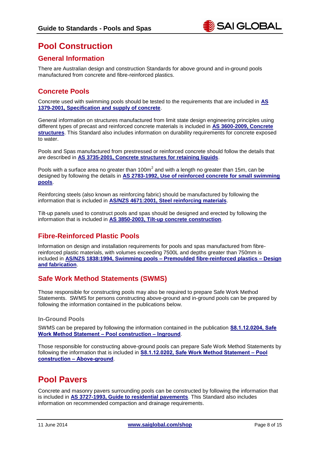## <span id="page-7-0"></span>**Pool Construction**

#### <span id="page-7-1"></span>**General Information**

There are Australian design and construction Standards for above ground and in-ground pools manufactured from concrete and fibre-reinforced plastics.

#### <span id="page-7-2"></span>**Concrete Pools**

Concrete used with swimming pools should be tested to the requirements that are included in **[AS](http://infostore.saiglobal.com/store/Details.aspx?ProductID=225492&utm_source=Website_Infostore&utm_medium=Guide&utm_campaign=GC_PoolsSpas_May14)  [1379-2001, Specification and supply of concrete](http://infostore.saiglobal.com/store/Details.aspx?ProductID=225492&utm_source=Website_Infostore&utm_medium=Guide&utm_campaign=GC_PoolsSpas_May14)**.

General information on structures manufactured from limit state design engineering principles using different types of precast and reinforced concrete materials is included in **[AS 3600-2009, Concrete](http://infostore.saiglobal.com/store/Details.aspx?ProductID=1382662&utm_source=Website_Infostore&utm_medium=Guide&utm_campaign=GC_PoolsSpas_May14)  [structures](http://infostore.saiglobal.com/store/Details.aspx?ProductID=1382662&utm_source=Website_Infostore&utm_medium=Guide&utm_campaign=GC_PoolsSpas_May14)**. This Standard also includes information on durability requirements for concrete exposed to water.

Pools and Spas manufactured from prestressed or reinforced concrete should follow the details that are described in **[AS 3735-2001, Concrete structures for retaining liquids](http://infostore.saiglobal.com/store/Details.aspx?ProductID=302519&utm_source=Website_Infostore&utm_medium=Guide&utm_campaign=GC_PoolsSpas_May14)**.

Pools with a surface area no greater than 100m<sup>2</sup> and with a length no greater than 15m, can be designed by following the details in **[AS 2783-1992, Use of reinforced concrete for small swimming](http://infostore.saiglobal.com/store/Details.aspx?ProductID=284084&utm_source=Website_Infostore&utm_medium=Guide&utm_campaign=GC_PoolsSpas_May14)  [pools](http://infostore.saiglobal.com/store/Details.aspx?ProductID=284084&utm_source=Website_Infostore&utm_medium=Guide&utm_campaign=GC_PoolsSpas_May14)**.

Reinforcing steels (also known as reinforcing fabric) should be manufactured by following the information that is included in **[AS/NZS 4671:2001, Steel reinforcing materials](http://infostore.saiglobal.com/store/Details.aspx?ProductID=385555&utm_source=Website_Infostore&utm_medium=Guide&utm_campaign=GC_PoolsSpas_May14)**.

Tilt-up panels used to construct pools and spas should be designed and erected by following the information that is included in **[AS 3850-2003, Tilt-up concrete construction](http://infostore.saiglobal.com/store/Details.aspx?ProductID=304811&utm_source=Website_Infostore&utm_medium=Guide&utm_campaign=GC_PoolsSpas_May14)**.

#### <span id="page-7-3"></span>**Fibre-Reinforced Plastic Pools**

Information on design and installation requirements for pools and spas manufactured from fibrereinforced plastic materials, with volumes exceeding 7500L and depths greater than 750mm is included in **AS/NZS 1838:1994, Swimming pools – [Premoulded fibre-reinforced plastics –](http://infostore.saiglobal.com/store/Details.aspx?ProductID=361694&utm_source=Website_Infostore&utm_medium=Guide&utm_campaign=GC_PoolsSpas_May14) Design [and fabrication](http://infostore.saiglobal.com/store/Details.aspx?ProductID=361694&utm_source=Website_Infostore&utm_medium=Guide&utm_campaign=GC_PoolsSpas_May14)**.

#### <span id="page-7-4"></span>**Safe Work Method Statements (SWMS)**

Those responsible for constructing pools may also be required to prepare Safe Work Method Statements. SWMS for persons constructing above-ground and in-ground pools can be prepared by following the information contained in the publications below.

#### **In-Ground Pools**

SWMS can be prepared by following the information contained in the publication **[S8.1.12.0204, Safe](http://infostore.saiglobal.com/store/Details.aspx?ProductID=1596100&utm_source=Website_Infostore&utm_medium=Guide&utm_campaign=GC_PoolsSpas_May14)  [Work Method Statement](http://infostore.saiglobal.com/store/Details.aspx?ProductID=1596100&utm_source=Website_Infostore&utm_medium=Guide&utm_campaign=GC_PoolsSpas_May14) – Pool construction – Inground**.

Those responsible for constructing above-ground pools can prepare Safe Work Method Statements by following the information that is included in **[S8.1.12.0202, Safe Work Method Statement](http://infostore.saiglobal.com/store/Details.aspx?ProductID=1596098&utm_source=Website_Infostore&utm_medium=Guide&utm_campaign=GC_PoolsSpas_May14) – Pool construction – [Above-ground](http://infostore.saiglobal.com/store/Details.aspx?ProductID=1596098&utm_source=Website_Infostore&utm_medium=Guide&utm_campaign=GC_PoolsSpas_May14)**.

## <span id="page-7-5"></span>**Pool Pavers**

Concrete and masonry pavers surrounding pools can be constructed by following the information that is included in **[AS 3727-1993, Guide to residential pavements](http://infostore.saiglobal.com/store/Details.aspx?ProductID=301914&utm_source=Website_Infostore&utm_medium=Guide&utm_campaign=GC_PoolsSpas_May14)**. This Standard also includes information on recommended compaction and drainage requirements.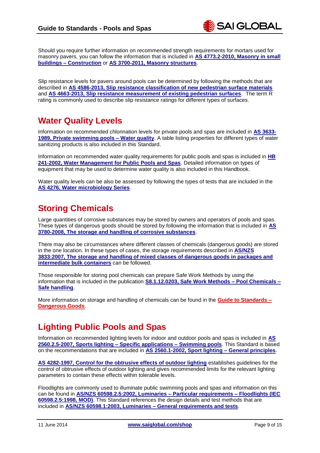Should you require further information on recommended strength requirements for mortars used for masonry pavers, you can follow the information that is included in **[AS 4773.2-2010, Masonry in small](http://infostore.saiglobal.com/store/Details.aspx?ProductID=1442129&utm_source=Website_Infostore&utm_medium=Guide&utm_campaign=GC_PoolsSpas_May14)  buildings – [Construction](http://infostore.saiglobal.com/store/Details.aspx?ProductID=1442129&utm_source=Website_Infostore&utm_medium=Guide&utm_campaign=GC_PoolsSpas_May14)** or **[AS 3700-2011, Masonry structures](http://infostore.saiglobal.com/store/Details.aspx?ProductID=1492286&utm_source=Website_Infostore&utm_medium=Guide&utm_campaign=GC_PoolsSpas_May14)**.

Slip resistance levels for pavers around pools can be determined by following the methods that are described in **[AS 4586-2013, Slip resistance classification of new pedestrian surface materials](http://infostore.saiglobal.com/store/Details.aspx?ProductID=1636572&utm_source=Website_Infostore&utm_medium=Guide&utm_campaign=GC_PoolsSpas_May14)** and **[AS 4663-2013, Slip resistance measurement of existing pedestrian surfaces](http://infostore.saiglobal.com/store/Details.aspx?ProductID=1636573&utm_source=Website_Infostore&utm_medium=Guide&utm_campaign=GC_PoolsSpas_May14)**. The term R rating is commonly used to describe slip resistance ratings for different types of surfaces.

## <span id="page-8-0"></span>**Water Quality Levels**

Information on recommended chlorination levels for private pools and spas are included in **[AS 3633-](http://infostore.saiglobal.com/store/Details.aspx?ProductID=298787&utm_source=Website_Infostore&utm_medium=Guide&utm_campaign=GC_PoolsSpas_May14) [1989, Private swimming pools –](http://infostore.saiglobal.com/store/Details.aspx?ProductID=298787&utm_source=Website_Infostore&utm_medium=Guide&utm_campaign=GC_PoolsSpas_May14) Water quality**. A table listing properties for different types of water sanitizing products is also included in this Standard.

Information on recommended water quality requirements for public pools and spas is included in **[HB](http://infostore.saiglobal.com/store/Details.aspx?ProductID=460813&utm_source=Website_Infostore&utm_medium=Guide&utm_campaign=GC_PoolsSpas_May14)  [241-2002, Water Management for Public Pools and Spas](http://infostore.saiglobal.com/store/Details.aspx?ProductID=460813&utm_source=Website_Infostore&utm_medium=Guide&utm_campaign=GC_PoolsSpas_May14)**. Detailed information on types of equipment that may be used to determine water quality is also included in this Handbook.

Water quality levels can be also be assessed by following the types of tests that are included in the **[AS 4276, Water microbiology Series](http://infostore.saiglobal.com/store/results2.aspx?searchType=simple&publisher=AS&keyword=4276&utm_source=Website_Infostore&utm_medium=Guide&utm_campaign=GC_PoolsSpas_May14)**.

## <span id="page-8-1"></span>**Storing Chemicals**

Large quantities of corrosive substances may be stored by owners and operators of pools and spas. These types of dangerous goods should be stored by following the information that is included in **[AS](http://infostore.saiglobal.com/store/Details.aspx?ProductID=1017574&utm_source=Website_Infostore&utm_medium=Guide&utm_campaign=GC_PoolsSpas_May14)  [3780-2008, The storage and handling of corrosive substances](http://infostore.saiglobal.com/store/Details.aspx?ProductID=1017574&utm_source=Website_Infostore&utm_medium=Guide&utm_campaign=GC_PoolsSpas_May14)**.

There may also be circumstances where different classes of chemicals (dangerous goods) are stored in the one location. In these types of cases, the storage requirements described in **[AS/NZS](http://infostore.saiglobal.com/store/Details.aspx?ProductID=375161&utm_source=Website_Infostore&utm_medium=Guide&utm_campaign=GC_PoolsSpas_May14)  [3833:2007, The storage and handling of mixed classes of dangerous goods in packages and](http://infostore.saiglobal.com/store/Details.aspx?ProductID=375161&utm_source=Website_Infostore&utm_medium=Guide&utm_campaign=GC_PoolsSpas_May14)  [intermediate bulk containers](http://infostore.saiglobal.com/store/Details.aspx?ProductID=375161&utm_source=Website_Infostore&utm_medium=Guide&utm_campaign=GC_PoolsSpas_May14)** can be followed.

Those responsible for storing pool chemicals can prepare Safe Work Methods by using the information that is included in the publication **[S8.1.12.0203, Safe Work Methods –](http://infostore.saiglobal.com/store/Details.aspx?ProductID=1596099&utm_source=Website_Infostore&utm_medium=Guide&utm_campaign=GC_PoolsSpas_May14) Pool Chemicals – [Safe handling](http://infostore.saiglobal.com/store/Details.aspx?ProductID=1596099&utm_source=Website_Infostore&utm_medium=Guide&utm_campaign=GC_PoolsSpas_May14)**.

More information on storage and handling of chemicals can be found in the **Guide [to Standards](https://infostore.saiglobal.com/store/getpage.aspx?path=/publishing/shop/productguides/dangerous.htm&utm_source=Website_Infostore&utm_medium=Guide&utm_campaign=GC_PoolsSpas_May14) – [Dangerous Goods](https://infostore.saiglobal.com/store/getpage.aspx?path=/publishing/shop/productguides/dangerous.htm&utm_source=Website_Infostore&utm_medium=Guide&utm_campaign=GC_PoolsSpas_May14)**.

## <span id="page-8-2"></span>**Lighting Public Pools and Spas**

Information on recommended lighting levels for indoor and outdoor pools and spas is included in **[AS](http://infostore.saiglobal.com/store/Details.aspx?ProductID=276660&utm_source=Website_Infostore&utm_medium=Guide&utm_campaign=GC_PoolsSpas_May14)  2560.2.5-2007, Sports lighting – [Specific applications –](http://infostore.saiglobal.com/store/Details.aspx?ProductID=276660&utm_source=Website_Infostore&utm_medium=Guide&utm_campaign=GC_PoolsSpas_May14) Swimming pools**. This Standard is based on the recommendations that are included in **[AS 2560.1-2002, Sport lighting –](http://infostore.saiglobal.com/store/Details.aspx?ProductID=276582&utm_source=Website_Infostore&utm_medium=Guide&utm_campaign=GC_PoolsSpas_May14) General principles**.

**[AS 4282-1997, Control for the obtrusive effects of outdoor lighting](http://infostore.saiglobal.com/store/Details.aspx?ProductID=312880&utm_source=Website_Infostore&utm_medium=Guide&utm_campaign=GC_PoolsSpas_May14)** establishes guidelines for the control of obtrusive effects of outdoor lighting and gives recommended limits for the relevant lighting parameters to contain these effects within tolerable levels.

Floodlights are commonly used to illuminate public swimming pools and spas and information on this can be found in **[AS/NZS 60598.2.5:2002, Luminaries –](http://infostore.saiglobal.com/store/Details.aspx?ProductID=390027&utm_source=Website_Infostore&utm_medium=Guide&utm_campaign=GC_PoolsSpas_May14) Particular requirements – Floodlights (IEC [60598.2.5:1998, MOD\)](http://infostore.saiglobal.com/store/Details.aspx?ProductID=390027&utm_source=Website_Infostore&utm_medium=Guide&utm_campaign=GC_PoolsSpas_May14)**. This Standard references the design details and test methods that are included in **[AS/NZS 60598.1:2003, Luminaries –](http://infostore.saiglobal.com/store/Details.aspx?ProductID=389873&utm_source=Website_Infostore&utm_medium=Guide&utm_campaign=GC_PoolsSpas_May14) General requirements and tests**.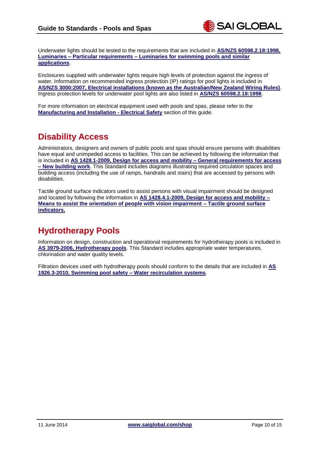Underwater lights should be tested to the requirements that are included in **[AS/NZS 60598.2.18:1998,](http://infostore.saiglobal.com/store/Details.aspx?ProductID=389913&utm_source=Website_Infostore&utm_medium=Guide&utm_campaign=GC_PoolsSpas_May14)  Luminaries – Particular requirements – [Luminaries for swimming pools and similar](http://infostore.saiglobal.com/store/Details.aspx?ProductID=389913&utm_source=Website_Infostore&utm_medium=Guide&utm_campaign=GC_PoolsSpas_May14)  [applications](http://infostore.saiglobal.com/store/Details.aspx?ProductID=389913&utm_source=Website_Infostore&utm_medium=Guide&utm_campaign=GC_PoolsSpas_May14)**.

Enclosures supplied with underwater lights require high levels of protection against the ingress of water. Information on recommended ingress protection (IP) ratings for pool lights is included in **[AS/NZS 3000:2007, Electrical installations \(known as the Australian/New Zealand Wiring Rules\)](http://infostore.saiglobal.com/store/Details.aspx?ProductID=366926&utm_source=Website_Infostore&utm_medium=Guide&utm_campaign=GC_PoolsSpas_May14)**. Ingress protection levels for underwater pool lights are also listed in **[AS/NZS 60598.2.18:1998](http://infostore.saiglobal.com/store/Details.aspx?ProductID=389913&utm_source=Website_Infostore&utm_medium=Guide&utm_campaign=GC_PoolsSpas_May14)**.

For more information on electrical equipment used with pools and spas, please refer to the **[Manufacturing and Installation -](#page-4-2) Electrical Safety** section of this guide.

## <span id="page-9-0"></span>**Disability Access**

Administrators, designers and owners of public pools and spas should ensure persons with disabilities have equal and unimpeded access to facilities. This can be achieved by following the information that is included in **[AS 1428.1-2009, Design for access and mobility –](http://infostore.saiglobal.com/store/Details.aspx?ProductID=1378917&utm_source=Website_Infostore&utm_medium=Guide&utm_campaign=GC_PoolsSpas_May14) General requirements for access – [New building work](http://infostore.saiglobal.com/store/Details.aspx?ProductID=1378917&utm_source=Website_Infostore&utm_medium=Guide&utm_campaign=GC_PoolsSpas_May14)**. This Standard includes diagrams illustrating required circulation spaces and building access (including the use of ramps, handrails and stairs) that are accessed by persons with disabilities.

Tactile ground surface indicators used to assist persons with visual impairment should be designed and located by following the information in **[AS 1428.4.1-2009, Design for access and mobility –](http://infostore.saiglobal.com/store/Details.aspx?ProductID=1380327&utm_source=Website_Infostore&utm_medium=Guide&utm_campaign=GC_PoolsSpas_May14) [Means to assist the orientation of people with vision impairment](http://infostore.saiglobal.com/store/Details.aspx?ProductID=1380327&utm_source=Website_Infostore&utm_medium=Guide&utm_campaign=GC_PoolsSpas_May14) – Tactile ground surface [indicators.](http://infostore.saiglobal.com/store/Details.aspx?ProductID=1380327&utm_source=Website_Infostore&utm_medium=Guide&utm_campaign=GC_PoolsSpas_May14)**

## <span id="page-9-1"></span>**Hydrotherapy Pools**

Information on design, construction and operational requirements for hydrotherapy pools is included in **[AS 3979-2006, Hydrotherapy pools](http://infostore.saiglobal.com/store/Details.aspx?ProductID=307276&utm_source=Website_Infostore&utm_medium=Guide&utm_campaign=GC_PoolsSpas_May14)**. This Standard includes appropriate water temperatures, chlorination and water quality levels.

Filtration devices used with hydrotherapy pools should conform to the details that are included in **[AS](http://infostore.saiglobal.com/store/Details.aspx?ProductID=1428421&utm_source=Website_Infostore&utm_medium=Guide&utm_campaign=GC_PoolsSpas_May14)  [1926.3-2010, Swimming pool safety –](http://infostore.saiglobal.com/store/Details.aspx?ProductID=1428421&utm_source=Website_Infostore&utm_medium=Guide&utm_campaign=GC_PoolsSpas_May14) Water recirculation systems**.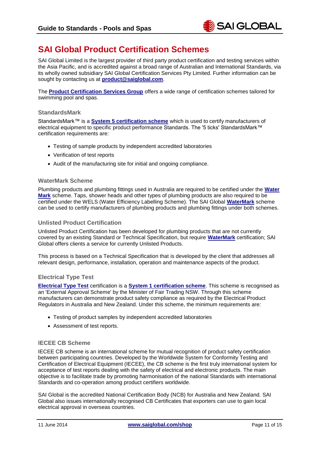

## <span id="page-10-0"></span>**SAI Global Product Certification Schemes**

SAI Global Limited is the largest provider of third party product certification and testing services within the Asia Pacific, and is accredited against a broad range of Australian and International Standards, via its wholly owned subsidiary SAI Global Certification Services Pty Limited. Further information can be sought by contacting us at **[product@saiglobal.com](mailto:product@saiglobal.com)**.

The **[Product Certification Services Group](http://www.saiglobal.com/product-certification/?utm_source=Website_Infostore&utm_medium=Guide&utm_campaign=GC_PoolsSpas_May14)** offers a wide range of certification schemes tailored for swimming pool and spas.

#### **StandardsMark**

StandardsMark™ is a **[System 5 certification scheme](http://www.saiglobal.com/product-certification/FAQ/default.htm/?utm_source=Website_Infostore&utm_medium=Guide&utm_campaign=GC_PoolsSpas_May14)** which is used to certify manufacturers of electrical equipment to specific product performance Standards. The '5 ticks' StandardsMark™ certification requirements are:

- Testing of sample products by independent accredited laboratories
- Verification of test reports
- Audit of the manufacturing site for initial and ongoing compliance.

#### **WaterMark Scheme**

Plumbing products and plumbing fittings used in Australia are required to be certified under the **[Water](http://www.saiglobal.com/product-certification/water-plumbing/?utm_source=Website_Infostore&utm_medium=Guide&utm_campaign=GC_PoolsSpas_May14)  [Mark](http://www.saiglobal.com/product-certification/water-plumbing/?utm_source=Website_Infostore&utm_medium=Guide&utm_campaign=GC_PoolsSpas_May14)** scheme. Taps, shower heads and other types of plumbing products are also required to be certified under the WELS (Water Efficiency Labelling Scheme). The SAI Global **[WaterMark](http://www.saiglobal.com/product-certification/water-plumbing/?utm_source=Website_Infostore&utm_medium=Guide&utm_campaign=GC_PoolsSpas_May14)** scheme can be used to certify manufacturers of plumbing products and plumbing fittings under both schemes.

#### **Unlisted Product Certification**

Unlisted Product Certification has been developed for plumbing products that are not currently covered by an existing Standard or Technical Specification, but require **[WaterMark](http://www.saiglobal.com/product-certification/water-plumbing/?utm_source=Website_Infostore&utm_medium=Guide&utm_campaign=GC_PoolsSpas_May14)** certification; SAI Global offers clients a service for currently Unlisted Products.

This process is based on a Technical Specification that is developed by the client that addresses all relevant design, performance, installation, operation and maintenance aspects of the product.

#### **Electrical Type Test**

**[Electrical Type Test](http://www.saiglobal.com/product-certification/electrical/?utm_source=Website_Infostore&utm_medium=Guide&utm_campaign=GC_PoolsSpas_May14)** certification is a **[System 1 certification scheme](http://www.saiglobal.com/product-certification/FAQ/default.htm?utm_source=Website_Infostore&utm_medium=Guide&utm_campaign=GC_PoolsSpas_May14)**. This scheme is recognised as an 'External Approval Scheme' by the Minister of Fair Trading NSW. Through this scheme manufacturers can demonstrate product safety compliance as required by the Electrical Product Regulators in Australia and New Zealand. Under this scheme, the minimum requirements are:

- Testing of product samples by independent accredited laboratories
- Assessment of test reports.

#### **IECEE CB Scheme**

IECEE CB scheme is an international scheme for mutual recognition of product safety certification between participating countries. Developed by the Worldwide System for Conformity Testing and Certification of Electrical Equipment (IECEE), the CB scheme is the first truly international system for acceptance of test reports dealing with the safety of electrical and electronic products. The main objective is to facilitate trade by promoting harmonisation of the national Standards with international Standards and co-operation among product certifiers worldwide.

SAI Global is the accredited National Certification Body (NCB) for Australia and New Zealand. SAI Global also issues internationally recognised CB Certificates that exporters can use to gain local electrical approval in overseas countries.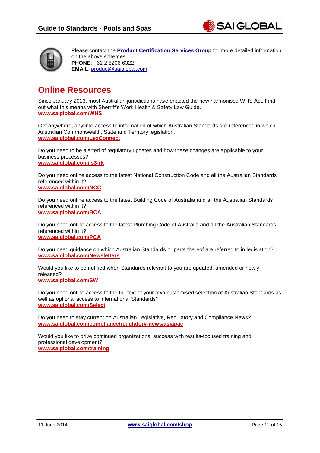



Please contact the **[Product Certification Services Group](http://www.saiglobal.com/product-certification/?utm_source=Website_Infostore&utm_medium=Guide&utm_campaign=GC_PoolsSpas_May14)** for more detailed information on the above schemes. **PHONE**: +61 2 8206 6322 **EMAIL**: [product@saiglobal.com](mailto:product@saiglobal.com)

## <span id="page-11-0"></span>**Online Resources**

Since January 2013, most Australian jurisdictions have enacted the new harmonised WHS Act. Find out what this means with Sherriff's Work Health & Safety Law Guide. **[www.saiglobal.com/WHS](http://www.saiglobal.com/WHS?utm_source=Website_Infostore&utm_medium=Guide&utm_campaign=GC_PoolsSpas_May14)**

Get anywhere, anytime access to information of which Australian Standards are referenced in which Australian Commonwealth, State and Territory legislation. **[www.saiglobal.com/LexConnect](http://www.saiglobal.com/Information/Standards/Law/?utm_source=Website_Infostore&utm_medium=Guide&utm_campaign=GC_PoolsSpas_May14)**

Do you need to be alerted of regulatory updates and how these changes are applicable to your business processes? **[www.saiglobal.com/is3-rk](http://www.saiglobal.com/is3-rk)**

Do you need online access to the latest National Construction Code and all the Australian Standards referenced within it? **[www.saiglobal.com/NCC](http://www.saiglobal.com/Information/Standards/Collections/NCC-Standards/?utm_source=Website_Infostore&utm_medium=Guide&utm_campaign=GC_PoolsSpas_May14)**

Do you need online access to the latest Building Code of Australia and all the Australian Standards referenced within it? **[www.saiglobal.com/BCA](http://www.saiglobal.com/Information/Standards/Collections/BCA-Standards/?utm_source=Website_Infostore&utm_medium=Guide&utm_campaign=GC_PoolsSpas_May14)**

Do you need online access to the latest Plumbing Code of Australia and all the Australian Standards referenced within it? **[www.saiglobal.com/PCA](http://www.saiglobal.com/Information/Standards/Collections/PCA-Standards/?utm_source=Website_Infostore&utm_medium=Guide&utm_campaign=GC_PoolsSpas_May14)**

Do you need guidance on which Australian Standards or parts thereof are referred to in legislation? **[www.saiglobal.com/Newsletters](http://www.saiglobal.com/Information/Standards/Newsletters?utm_source=Website_Infostore&utm_medium=Guide&utm_campaign=GC_PoolsSpas_May14)**

Would you like to be notified when Standards relevant to you are updated, amended or newly released? **[www.saiglobal.com/SW](http://www.saiglobal.com/Information/Standards/StandardsWatch/?utm_source=Website_Infostore&utm_medium=Guide&utm_campaign=GC_PoolsSpas_May14)**

Do you need online access to the full text of your own customised selection of Australian Standards as well as optional access to international Standards? **[www.saiglobal.com/Select](http://www.saiglobal.com/Information/Standards/Collections/Standards-Online-Select/?utm_source=Website_Infostore&utm_medium=Guide&utm_campaign=GC_PoolsSpas_May14)**

Do you need to stay current on Australian Legislative, Regulatory and Compliance News? **[www.saiglobal.com/compliance/regulatory-news/asiapac](http://www.saiglobal.com/compliance/regulatory-news/asiapac/?utm_source=Website_Infostore&utm_medium=Guide&utm_campaign=GC_PoolsSpas_May14)**

Would you like to drive continued organizational success with results-focused training and professional development? **[www.saiglobal.com/training](http://www.saiglobal.com/training/assurance/training-calendar/?utm_source=Website_Infostore&utm_medium=Guide&utm_campaign=GC_PoolsSpas_May14)**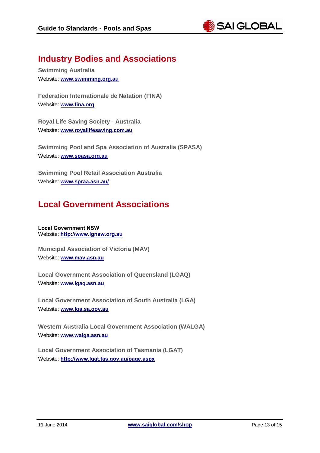

## <span id="page-12-0"></span>**Industry Bodies and Associations**

**Swimming Australia** Website: **[www.swimming.org.au](http://www.swimming.org.au/)**

**Federation Internationale de Natation (FINA)** Website: **[www.fina.org](http://www.fina.org/)**

**Royal Life Saving Society - Australia** Website: **[www.royallifesaving.com.au](http://www.royallifesaving.com.au/)**

**Swimming Pool and Spa Association of Australia (SPASA)** Website: **www.spasa.org.au**

**Swimming Pool Retail Association Australia** Website: **[www.spraa.asn.au/](http://www.spraa.asn.au/)**

## <span id="page-12-1"></span>**Local Government Associations**

**Local Government NSW** Website: **[http://www.lgnsw.org.au](http://www.lgnsw.org.au/)**

**Municipal Association of Victoria (MAV)** Website: **[www.mav.asn.au](http://www.mav.asn.au/)**

**Local Government Association of Queensland (LGAQ)** Website: **[www.lgaq.asn.au](http://www.lgaq.asn.au/)**

**Local Government Association of South Australia (LGA)** Website: **[www.lga.sa.gov.au](http://www.lga.sa.gov.au/)**

**Western Australia Local Government Association (WALGA)** Website: **[www.walga.asn.au](http://www.walga.asn.au/)**

**Local Government Association of Tasmania (LGAT)** Website: **<http://www.lgat.tas.gov.au/page.aspx>**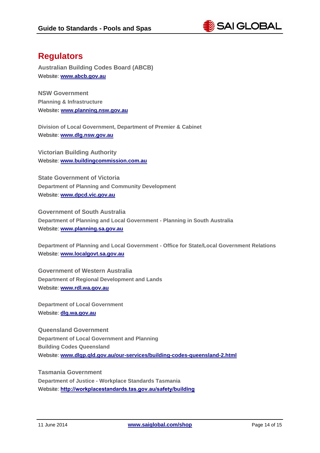

## <span id="page-13-0"></span>**Regulators**

**Australian Building Codes Board (ABCB)** Website: **[www.abcb.gov.au](http://www.abcb.gov.au/)**

**NSW Government Planning & Infrastructure** Website**: [www.planning.nsw.gov.au](http://www.planning.nsw.gov.au/)**

**Division of Local Government, Department of Premier & Cabinet** Website: **[www.dlg.nsw.gov.au](http://www.dlg.nsw.gov.au/)**

**Victorian Building Authority** Website: **[www.buildingcommission.com.au](http://www.buildingcommission.com.au/)**

**State Government of Victoria Department of Planning and Community Development** Website: **[www.dpcd.vic.gov.au](http://www.dpcd.vic.gov.au/)**

**Government of South Australia Department of Planning and Local Government - Planning in South Australia** Website: **[www.planning.sa.gov.au](http://www.planning.sa.gov.au/)**

**Department of Planning and Local Government - Office for State/Local Government Relations** Website: **[www.localgovt.sa.gov.au](http://www.localgovt.sa.gov.au/)**

**Government of Western Australia Department of Regional Development and Lands** Website: **[www.rdl.wa.gov.au](http://www.rdl.wa.gov.au/)**

**Department of Local Government** Website: **[dlg.wa.gov.au](http://dlg.wa.gov.au/)**

**Queensland Government Department of Local Government and Planning Building Codes Queensland** Website: **[www.dlgp.qld.gov.au/our-services/building-codes-queensland-2.html](http://www.dlgp.qld.gov.au/our-services/building-codes-queensland-2.html)**

**Tasmania Government Department of Justice - Workplace Standards Tasmania** Website: **<http://workplacestandards.tas.gov.au/safety/building>**